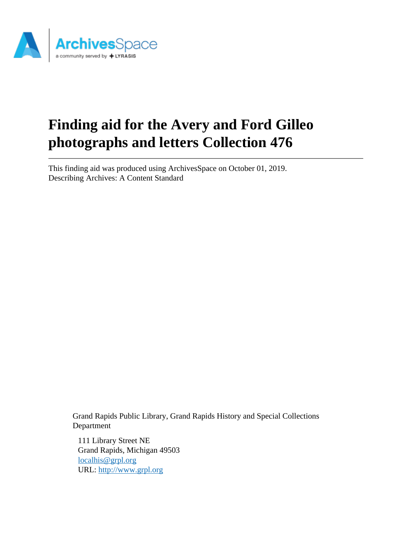

# **Finding aid for the Avery and Ford Gilleo photographs and letters Collection 476**

This finding aid was produced using ArchivesSpace on October 01, 2019. Describing Archives: A Content Standard

> Grand Rapids Public Library, Grand Rapids History and Special Collections Department

111 Library Street NE Grand Rapids, Michigan 49503 [localhis@grpl.org](mailto:localhis@grpl.org) URL:<http://www.grpl.org>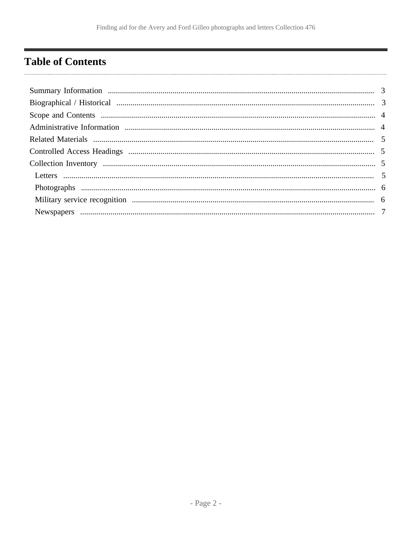# <span id="page-1-0"></span>**Table of Contents**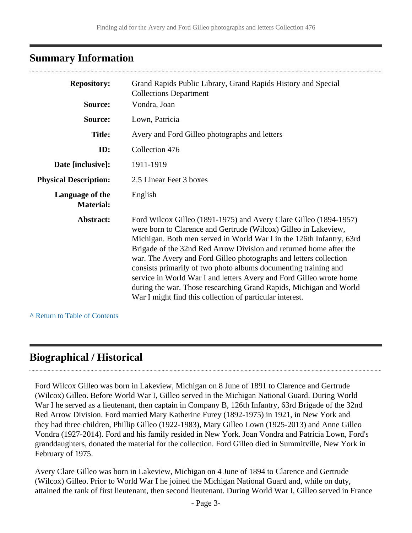# <span id="page-2-0"></span>**Summary Information**

| <b>Repository:</b><br>Source:       | Grand Rapids Public Library, Grand Rapids History and Special<br><b>Collections Department</b><br>Vondra, Joan                                                                                                                                                                                                                                                                                                                                                                                                                                                                                                                      |
|-------------------------------------|-------------------------------------------------------------------------------------------------------------------------------------------------------------------------------------------------------------------------------------------------------------------------------------------------------------------------------------------------------------------------------------------------------------------------------------------------------------------------------------------------------------------------------------------------------------------------------------------------------------------------------------|
| Source:                             | Lown, Patricia                                                                                                                                                                                                                                                                                                                                                                                                                                                                                                                                                                                                                      |
| <b>Title:</b>                       | Avery and Ford Gilleo photographs and letters                                                                                                                                                                                                                                                                                                                                                                                                                                                                                                                                                                                       |
| ID:                                 | Collection 476                                                                                                                                                                                                                                                                                                                                                                                                                                                                                                                                                                                                                      |
| Date [inclusive]:                   | 1911-1919                                                                                                                                                                                                                                                                                                                                                                                                                                                                                                                                                                                                                           |
| <b>Physical Description:</b>        | 2.5 Linear Feet 3 boxes                                                                                                                                                                                                                                                                                                                                                                                                                                                                                                                                                                                                             |
| Language of the<br><b>Material:</b> | English                                                                                                                                                                                                                                                                                                                                                                                                                                                                                                                                                                                                                             |
| Abstract:                           | Ford Wilcox Gilleo (1891-1975) and Avery Clare Gilleo (1894-1957)<br>were born to Clarence and Gertrude (Wilcox) Gilleo in Lakeview,<br>Michigan. Both men served in World War I in the 126th Infantry, 63rd<br>Brigade of the 32nd Red Arrow Division and returned home after the<br>war. The Avery and Ford Gilleo photographs and letters collection<br>consists primarily of two photo albums documenting training and<br>service in World War I and letters Avery and Ford Gilleo wrote home<br>during the war. Those researching Grand Rapids, Michigan and World<br>War I might find this collection of particular interest. |

**^** [Return to Table of Contents](#page-1-0)

### <span id="page-2-1"></span>**Biographical / Historical**

Ford Wilcox Gilleo was born in Lakeview, Michigan on 8 June of 1891 to Clarence and Gertrude (Wilcox) Gilleo. Before World War I, Gilleo served in the Michigan National Guard. During World War I he served as a lieutenant, then captain in Company B, 126th Infantry, 63rd Brigade of the 32nd Red Arrow Division. Ford married Mary Katherine Furey (1892-1975) in 1921, in New York and they had three children, Phillip Gilleo (1922-1983), Mary Gilleo Lown (1925-2013) and Anne Gilleo Vondra (1927-2014). Ford and his family resided in New York. Joan Vondra and Patricia Lown, Ford's granddaughters, donated the material for the collection. Ford Gilleo died in Summitville, New York in February of 1975.

Avery Clare Gilleo was born in Lakeview, Michigan on 4 June of 1894 to Clarence and Gertrude (Wilcox) Gilleo. Prior to World War I he joined the Michigan National Guard and, while on duty, attained the rank of first lieutenant, then second lieutenant. During World War I, Gilleo served in France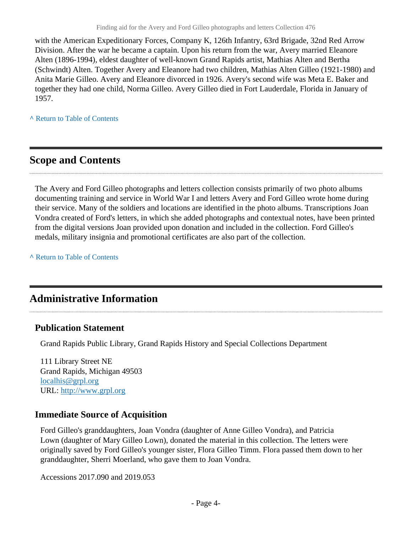with the American Expeditionary Forces, Company K, 126th Infantry, 63rd Brigade, 32nd Red Arrow Division. After the war he became a captain. Upon his return from the war, Avery married Eleanore Alten (1896-1994), eldest daughter of well-known Grand Rapids artist, Mathias Alten and Bertha (Schwindt) Alten. Together Avery and Eleanore had two children, Mathias Alten Gilleo (1921-1980) and Anita Marie Gilleo. Avery and Eleanore divorced in 1926. Avery's second wife was Meta E. Baker and together they had one child, Norma Gilleo. Avery Gilleo died in Fort Lauderdale, Florida in January of 1957.

**^** [Return to Table of Contents](#page-1-0)

### <span id="page-3-0"></span>**Scope and Contents**

The Avery and Ford Gilleo photographs and letters collection consists primarily of two photo albums documenting training and service in World War I and letters Avery and Ford Gilleo wrote home during their service. Many of the soldiers and locations are identified in the photo albums. Transcriptions Joan Vondra created of Ford's letters, in which she added photographs and contextual notes, have been printed from the digital versions Joan provided upon donation and included in the collection. Ford Gilleo's medals, military insignia and promotional certificates are also part of the collection.

**^** [Return to Table of Contents](#page-1-0)

### <span id="page-3-1"></span>**Administrative Information**

### **Publication Statement**

Grand Rapids Public Library, Grand Rapids History and Special Collections Department

111 Library Street NE Grand Rapids, Michigan 49503 [localhis@grpl.org](mailto:localhis@grpl.org) URL:<http://www.grpl.org>

### **Immediate Source of Acquisition**

Ford Gilleo's granddaughters, Joan Vondra (daughter of Anne Gilleo Vondra), and Patricia Lown (daughter of Mary Gilleo Lown), donated the material in this collection. The letters were originally saved by Ford Gilleo's younger sister, Flora Gilleo Timm. Flora passed them down to her granddaughter, Sherri Moerland, who gave them to Joan Vondra.

Accessions 2017.090 and 2019.053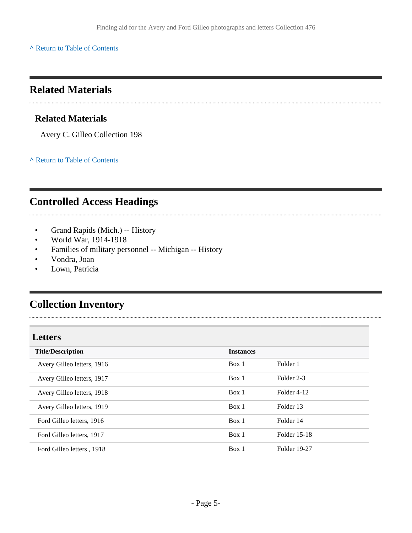**^** [Return to Table of Contents](#page-1-0)

### <span id="page-4-0"></span>**Related Materials**

### **Related Materials**

Avery C. Gilleo Collection 198

**^** [Return to Table of Contents](#page-1-0)

### <span id="page-4-1"></span>**Controlled Access Headings**

- Grand Rapids (Mich.) -- History
- World War, 1914-1918
- Families of military personnel -- Michigan -- History
- Vondra, Joan

Lown, Patricia

# <span id="page-4-2"></span>**Collection Inventory**

<span id="page-4-3"></span>

| <b>Letters</b>             |                  |              |
|----------------------------|------------------|--------------|
| <b>Title/Description</b>   | <b>Instances</b> |              |
| Avery Gilleo letters, 1916 | Box 1            | Folder 1     |
| Avery Gilleo letters, 1917 | Box 1            | Folder 2-3   |
| Avery Gilleo letters, 1918 | Box 1            | Folder 4-12  |
| Avery Gilleo letters, 1919 | Box 1            | Folder 13    |
| Ford Gilleo letters, 1916  | Box 1            | Folder 14    |
| Ford Gilleo letters, 1917  | Box 1            | Folder 15-18 |
| Ford Gilleo letters, 1918  | Box 1            | Folder 19-27 |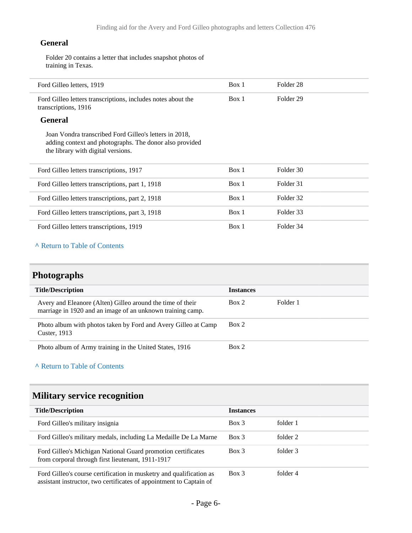#### **General**

Folder 20 contains a letter that includes snapshot photos of training in Texas.

| Ford Gilleo letters, 1919                                                                                                                               | Box 1 | Folder <sub>28</sub> |  |
|---------------------------------------------------------------------------------------------------------------------------------------------------------|-------|----------------------|--|
| Ford Gilleo letters transcriptions, includes notes about the<br>transcriptions, 1916                                                                    | Box 1 | Folder 29            |  |
| <b>General</b>                                                                                                                                          |       |                      |  |
| Joan Vondra transcribed Ford Gilleo's letters in 2018,<br>adding context and photographs. The donor also provided<br>the library with digital versions. |       |                      |  |
| Ford Gilleo letters transcriptions, 1917                                                                                                                | Box 1 | Folder 30            |  |
| Ford Gilleo letters transcriptions, part 1, 1918                                                                                                        | Box 1 | Folder 31            |  |
| Ford Gilleo letters transcriptions, part 2, 1918                                                                                                        | Box 1 | Folder 32            |  |
| Ford Gilleo letters transcriptions, part 3, 1918                                                                                                        | Box 1 | Folder 33            |  |
| Ford Gilleo letters transcriptions, 1919                                                                                                                | Box 1 | Folder 34            |  |

### **^** [Return to Table of Contents](#page-1-0)

# <span id="page-5-0"></span>**Photographs**

| <b>Title/Description</b>                                                                                                 | <b>Instances</b> |          |
|--------------------------------------------------------------------------------------------------------------------------|------------------|----------|
| Avery and Eleanore (Alten) Gilleo around the time of their<br>marriage in 1920 and an image of an unknown training camp. | Box 2            | Folder 1 |
| Photo album with photos taken by Ford and Avery Gilleo at Camp<br>Custer, 1913                                           | Box 2            |          |
| Photo album of Army training in the United States, 1916                                                                  | Box 2            |          |

#### **^** [Return to Table of Contents](#page-1-0)

# <span id="page-5-1"></span>**Military service recognition**

| <b>Title/Description</b>                                                                                                                   | <b>Instances</b> |          |
|--------------------------------------------------------------------------------------------------------------------------------------------|------------------|----------|
| Ford Gilleo's military insignia                                                                                                            | Box 3            | folder 1 |
| Ford Gilleo's military medals, including La Medaille De La Marne                                                                           | $Box$ 3          | folder 2 |
| Ford Gilleo's Michigan National Guard promotion certificates<br>from corporal through first lieutenant, 1911-1917                          | Box 3            | folder 3 |
| Ford Gilleo's course certification in musketry and qualification as<br>assistant instructor, two certificates of appointment to Captain of | Box 3            | folder 4 |